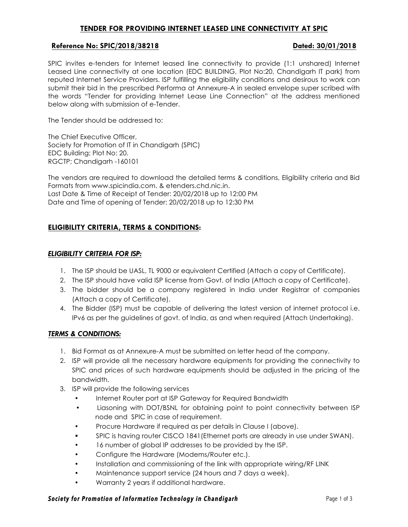# **TENDER FOR PROVIDING INTERNET LEASED LINE CONNECTIVITY AT SPIC**

## **Reference No: SPIC/2018/38218 Dated: 30/01/2018**

SPIC invites e-tenders for Internet leased line connectivity to provide (1:1 unshared) Internet Leased Line connectivity at one location (EDC BUILDING, Plot No:20, Chandigarh IT park) from reputed Internet Service Providers. ISP fulfilling the eligibility conditions and desirous to work can submit their bid in the prescribed Performa at Annexure-A in sealed envelope super scribed with the words "Tender for providing Internet Lease Line Connection" at the address mentioned below along with submission of e-Tender.

The Tender should be addressed to:

The Chief Executive Officer, Society for Promotion of IT in Chandigarh (SPIC) EDC Building; Plot No: 20. RGCTP; Chandigarh -160101

The vendors are required to download the detailed terms & conditions, Eligibility criteria and Bid Formats from www.spicindia.com. & etenders.chd.nic.in. Last Date & Time of Receipt of Tender: 20/02/2018 up to 12:00 PM Date and Time of opening of Tender: 20/02/2018 up to 12:30 PM

# **ELIGIBILITY CRITERIA, TERMS & CONDITIONS:**

### *ELIGIBILITY CRITERIA FOR ISP:*

- 1. The ISP should be UASL, TL 9000 or equivalent Certified (Attach a copy of Certificate).
- 2. The ISP should have valid ISP license from Govt. of India (Attach a copy of Certificate).
- 3. The bidder should be a company registered in India under Registrar of companies (Attach a copy of Certificate).
- 4. The Bidder (ISP) must be capable of delivering the latest version of internet protocol i.e. IPv6 as per the guidelines of govt. of India, as and when required (Attach Undertaking).

## *TERMS & CONDITIONS:*

- 1. Bid Format as at Annexure-A must be submitted on letter head of the company.
- 2. ISP will provide all the necessary hardware equipments for providing the connectivity to SPIC and prices of such hardware equipments should be adjusted in the pricing of the bandwidth.
- 3. ISP will provide the following services
	- Internet Router port at ISP Gateway for Required Bandwidth
	- Liasoning with DOT/BSNL for obtaining point to point connectivity between ISP node and SPIC in case of requirement.
	- Procure Hardware if required as per details in Clause I (above).
	- § SPIC is having router CISCO 1841(Ethernet ports are already in use under SWAN).
	- 16 number of global IP addresses to be provided by the ISP.
	- Configure the Hardware (Modems/Router etc.).
	- Installation and commissioning of the link with appropriate wiring/RF LINK
	- Maintenance support service (24 hours and 7 days a week).
	- Warranty 2 years if additional hardware.

### **Society for Promotion of Information Technology in Chandigarh** Page 1 of 3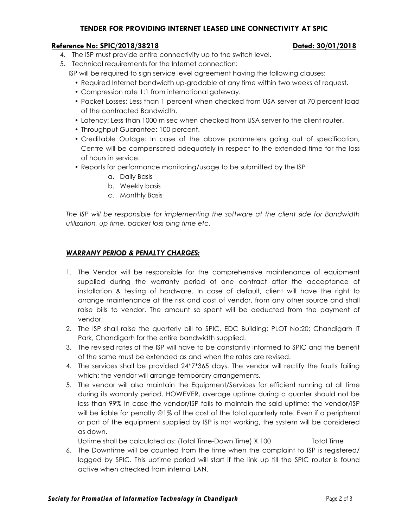# **TENDER FOR PROVIDING INTERNET LEASED LINE CONNECTIVITY AT SPIC**

### **Reference No: SPIC/2018/38218 Dated: 30/01/2018**

- 4. The ISP must provide entire connectivity up to the switch level.
- 5. Technical requirements for the Internet connection:
	- ISP will be required to sign service level agreement having the following clauses:
		- Required Internet bandwidth up-gradable at any time within two weeks of request.
		- Compression rate 1:1 from international gateway.
		- Packet Losses: Less than 1 percent when checked from USA server at 70 percent load of the contracted Bandwidth.
		- Latency: Less than 1000 m sec when checked from USA server to the client router.
		- Throughput Guarantee: 100 percent.
		- Creditable Outage: In case of the above parameters going out of specification, Centre will be compensated adequately in respect to the extended time for the loss of hours in service.
		- Reports for performance monitoring/usage to be submitted by the ISP
			- a. Daily Basis
			- b. Weekly basis
			- c. Monthly Basis

*The ISP will be responsible for implementing the software at the client side for Bandwidth utilization, up time, packet loss ping time etc.*

## *WARRANY PERIOD & PENALTY CHARGES:*

- 1. The Vendor will be responsible for the comprehensive maintenance of equipment supplied during the warranty period of one contract after the acceptance of installation & testing of hardware. In case of default, client will have the right to arrange maintenance at the risk and cost of vendor, from any other source and shall raise bills to vendor. The amount so spent will be deducted from the payment of vendor.
- 2. The ISP shall raise the quarterly bill to SPIC, EDC Building; PLOT No:20; Chandigarh IT Park, Chandigarh for the entire bandwidth supplied.
- 3. The revised rates of the ISP will have to be constantly informed to SPIC and the benefit of the same must be extended as and when the rates are revised.
- 4. The services shall be provided 24\*7\*365 days. The vendor will rectify the faults failing which: the vendor will arrange temporary arrangements.
- 5. The vendor will also maintain the Equipment/Services for efficient running at all time during its warranty period. HOWEVER, average uptime during a quarter should not be less than 99% In case the vendor/ISP fails to maintain the said uptime; the vendor/ISP will be liable for penalty @1% of the cost of the total quarterly rate. Even if a peripheral or part of the equipment supplied by ISP is not working, the system will be considered as down.

Uptime shall be calculated as: (Total Time-Down Time) X 100 Total Time

6. The Downtime will be counted from the time when the complaint to ISP is registered/ logged by SPIC. This uptime period will start if the link up till the SPIC router is found active when checked from internal LAN.